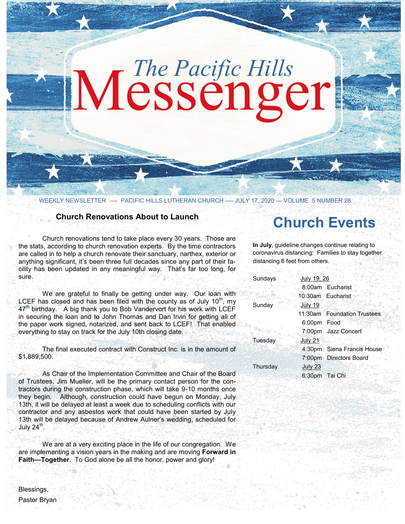# Messenger *The Pacific Hills*

WEEKLY NEWSLETTER - PACIFIC HILLS LUTHERAN CHURCH - JULY 17, 2020 - VOLUME 5 NUMBER 28

#### **Church Renovations About to Launch**

Church renovations tend to take place every 30 years. Those are the stats, according to church renovation experts. By the time contractors are called in to help a church renovate their sanctuary, narthex, exterior or anything significant, it's been three full decades since any part of their facility has been updated in any meaningful way. That's far too long, for sure.

We are grateful to finally be getting under way. Our loan with LCEF has closed and has been filed with the county as of July  $10<sup>th</sup>$ , my 47<sup>th</sup> birthday. A big thank you to Bob Vandervort for his work with LCEF in securing the loan and to John Thomas and Dan Irvin for getting all of the paper work signed, notarized, and sent back to LCEF! That enabled everything to stay on track for the July 10th closing date.

The final executed contract with Construct Inc. is in the amount of \$1,889,500.

As Chair of the Implementation Committee and Chair of the Board of Trustees, Jim Mueller, will be the primary contact person for the contractors during the construction phase, which will take 9-10 months once they begin. Although, construction could have begun on Monday, July 13th, it will be delayed at least a week due to scheduling conflicts with our contractor and any asbestos work that could have been started by July 13th will be delayed because of Andrew Aulner's wedding, scheduled for July  $24^{\text{th}}$ .

We are at a very exciting place in the life of our congregation. We are implementing a vision years in the making and are moving **Forward in Faith—Together**. To God alone be all the honor, power and glory!

## **Church Events**

**In July**, guideline changes continue relating to coronavirus distancing: Families to stay together distancing 6 feet from others.

| Sundays  | July 19, 26 |                             |
|----------|-------------|-----------------------------|
|          |             | 8:00am Eucharist            |
|          |             | 10:30am Eucharist           |
| Sunday   | July 19     |                             |
|          |             | 11:30am Foundation Trustees |
|          | 6:00pm Food |                             |
|          |             | 7:00pm Jazz Concert         |
| Tuesday  | July 21     |                             |
|          |             | 4:30pm Siena Francis House  |
|          |             | 7:00pm Directors Board      |
| Thursday | July 23     |                             |
|          |             | 6:30pm Tai Chi              |
|          |             |                             |